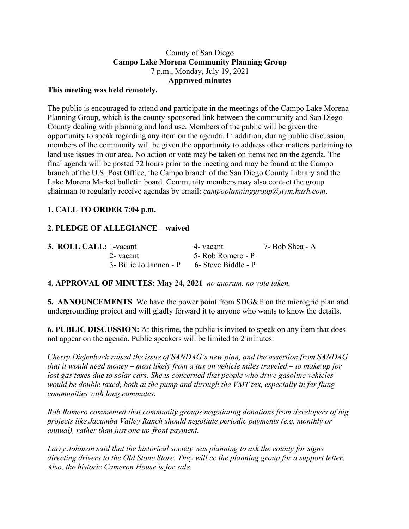## County of San Diego **Campo Lake Morena Community Planning Group** 7 p.m., Monday, July 19, 2021 **Approved minutes**

### **This meeting was held remotely.**

The public is encouraged to attend and participate in the meetings of the Campo Lake Morena Planning Group, which is the county-sponsored link between the community and San Diego County dealing with planning and land use. Members of the public will be given the opportunity to speak regarding any item on the agenda. In addition, during public discussion, members of the community will be given the opportunity to address other matters pertaining to land use issues in our area. No action or vote may be taken on items not on the agenda. The final agenda will be posted 72 hours prior to the meeting and may be found at the Campo branch of the U.S. Post Office, the Campo branch of the San Diego County Library and the Lake Morena Market bulletin board. Community members may also contact the group chairman to regularly receive agendas by email: *campoplanninggroup@nym.hush.com*.

# **1. CALL TO ORDER 7:04 p.m.**

# **2. PLEDGE OF ALLEGIANCE – waived**

| 3. ROLL CALL: 1-vacant  | 4- vacant           | 7- Bob Shea - A |
|-------------------------|---------------------|-----------------|
| 2- vacant               | 5- Rob Romero - P   |                 |
| 3- Billie Jo Jannen - P | 6- Steve Biddle - P |                 |

### **4. APPROVAL OF MINUTES: May 24, 2021** *no quorum, no vote taken.*

**5. ANNOUNCEMENTS** We have the power point from SDG&E on the microgrid plan and undergrounding project and will gladly forward it to anyone who wants to know the details.

**6. PUBLIC DISCUSSION:** At this time, the public is invited to speak on any item that does not appear on the agenda. Public speakers will be limited to 2 minutes.

*Cherry Diefenbach raised the issue of SANDAG's new plan, and the assertion from SANDAG* that it would need money – most likely from a tax on vehicle miles traveled – to make up for *lost gas taxes due to solar cars. She is concerned that people who drive gasoline vehicles would be double taxed, both at the pump and through the VMT tax, especially in far flung communities with long commutes.*

*Rob Romero commented that community groups negotiating donations from developers of big projects like Jacumba Valley Ranch should negotiate periodic payments (e.g. monthly or annual), rather than just one up-front payment.*

*Larry Johnson said that the historical society was planning to ask the county for signs directing drivers to the Old Stone Store. They will cc the planning group for a support letter. Also, the historic Cameron House is for sale.*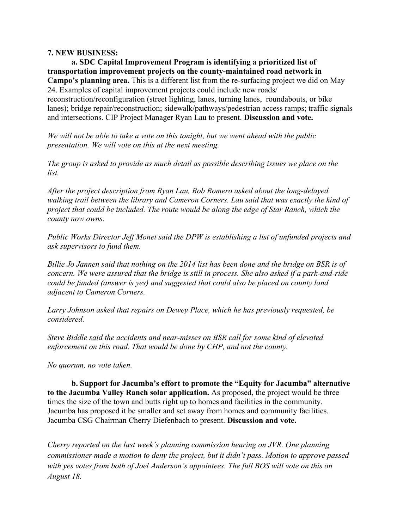#### **7. NEW BUSINESS:**

**a. SDC Capital Improvement Program is identifying a prioritized list of transportation improvement projects on the county-maintained road network in Campo's planning area.** This is a different list from the re-surfacing project we did on May 24. Examples of capital improvement projects could include new roads/ reconstruction/reconfiguration (street lighting, lanes, turning lanes, roundabouts, or bike lanes); bridge repair/reconstruction; sidewalk/pathways/pedestrian access ramps; traffic signals and intersections. CIP Project Manager Ryan Lau to present. **Discussion and vote.**

*We will not be able to take a vote on this tonight, but we went ahead with the public presentation. We will vote on this at the next meeting.*

*The group is asked to provide as much detail as possible describing issues we place on the list.*

*After the project description from Ryan Lau, Rob Romero asked about the long-delayed walking trail between the library and Cameron Corners. Lau said that was exactly the kind of project that could be included. The route would be along the edge of Star Ranch, which the county now owns.*

*Public Works Director Jeff Monet said the DPW is establishing a list of unfunded projects and ask supervisors to fund them.*

Billie Jo Jannen said that nothing on the 2014 list has been done and the bridge on BSR is of *concern. We were assured that the bridge is still in process. She also asked if a park-and-ride could be funded (answer is yes) and suggested that could also be placed on county land adjacent to Cameron Corners.*

*Larry Johnson asked that repairs on Dewey Place, which he has previously requested, be considered.*

*Steve Biddle said the accidents and near-misses on BSR call for some kind of elevated enforcement on this road. That would be done by CHP, and not the county.*

*No quorum, no vote taken.*

**b. Support for Jacumba's effort to promote the "Equity for Jacumba" alternative to the Jacumba Valley Ranch solar application.** As proposed, the project would be three times the size of the town and butts right up to homes and facilities in the community. Jacumba has proposed it be smaller and set away from homes and community facilities. Jacumba CSG Chairman Cherry Diefenbach to present. **Discussion and vote.**

*Cherry reported on the last week's planning commission hearing on JVR. One planning commissioner made a motion to deny the project, but it didn't pass. Motion to approve passed with yes votes from both of Joel Anderson's appointees. The full BOS will vote on this on August 18.*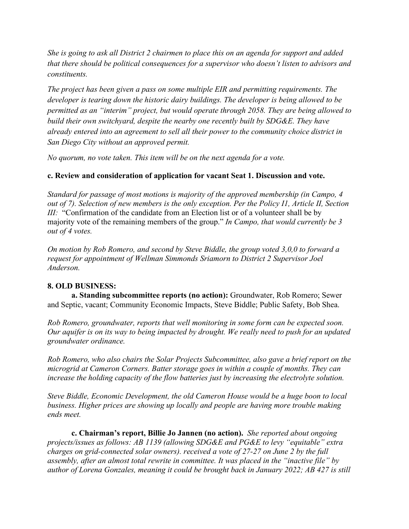She is going to ask all District 2 chairmen to place this on an agenda for support and added *that there should be political consequences for a supervisor who doesn't listen to advisors and constituents.*

*The project has been given a pass on some multiple EIR and permitting requirements. The developer is tearing down the historic dairy buildings. The developer is being allowed to be permitted as an "interim" project, but would operate through 2058. They are being allowed to build their own switchyard, despite the nearby one recently built by SDG&E. They have already entered into an agreement to sell all their power to the community choice district in San Diego City without an approved permit.*

*No quorum, no vote taken. This item will be on the next agenda for a vote.*

### **c. Review and consideration of application for vacant Seat 1. Discussion and vote.**

*Standard for passage of most motions is majority of the approved membership (in Campo, 4 out of 7). Selection of new members is the only exception. Per the Policy I1, Article II, Section III:* "Confirmation of the candidate from an Election list or of a volunteer shall be by majority vote of the remaining members of the group." *In Campo, that would currently be 3 out of 4 votes.*

*On motion by Rob Romero, and second by Steve Biddle, the group voted 3,0,0 to forward a request for appointment of Wellman Simmonds Sriamorn to District 2 Supervisor Joel Anderson.*

### **8. OLD BUSINESS:**

**a. Standing subcommittee reports (no action):** Groundwater, Rob Romero; Sewer and Septic, vacant; Community Economic Impacts, Steve Biddle; Public Safety, Bob Shea.

*Rob Romero, groundwater, reports that well monitoring in some form can be expected soon.* Our aquifer is on its way to being impacted by drought. We really need to push for an updated *groundwater ordinance.*

*Rob Romero, who also chairs the Solar Projects Subcommittee, also gave a brief report on the microgrid at Cameron Corners. Batter storage goes in within a couple of months. They can increase the holding capacity of the flow batteries just by increasing the electrolyte solution.*

*Steve Biddle, Economic Development, the old Cameron House would be a huge boon to local business. Higher prices are showing up locally and people are having more trouble making ends meet.*

**c. Chairman's report, Billie Jo Jannen (no action).** *She reported about ongoing projects/issues as follows: AB 1139 (allowing SDG&E and PG&E to levy "equitable" extra charges on grid-connected solar owners). received a vote of 27-27 on June 2 by the full assembly, after an almost total rewrite in committee. It was placed in the "inactive file" by author of Lorena Gonzales, meaning it could be brought back in January 2022; AB 427 is still*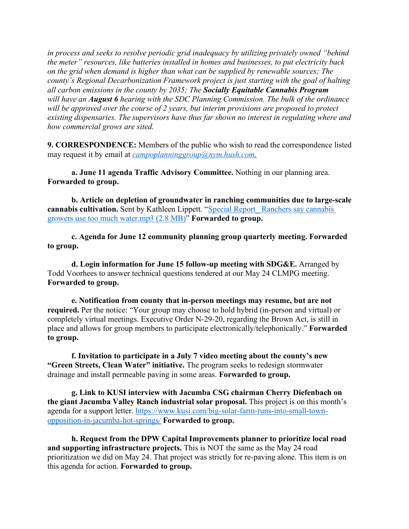*in process and seeks to resolve periodic grid inadequacy by utilizing privately owned "behind the meter" resources, like batteries installed in homes and businesses, to put electricity back on the grid when demand is higher than what can be supplied by renewable sources; The county's Regional Decarbonization Framework project is just starting with the goal of halting all carbon emissions in the county by 2035; The Socially Equitable Cannabis Program will have an August 6 hearing with the SDC Planning Commission. The bulk of the ordinance will be approved over the course of 2 years, but interim provisions are proposed to protect existing dispensaries. The supervisors have thus far shown no interest in regulating where and how commercial grows are sited.*

**9. CORRESPONDENCE:** Members of the public who wish to read the correspondence listed may request it by email at *campoplanninggroup@nym.hush.com.*

**a. June 11 agenda Traffic Advisory Committee.** Nothing in our planning area. **Forwarded to group.**

**b. Article on depletion of groundwater in ranching communities due to large-scale cannabis cultivation.** Sent by Kathleen Lippett. "Special Report Ranchers say cannabis growers use too much water.mp3 (2.8 MB)" **Forwarded to group.**

**c. Agenda for June 12 community planning group quarterly meeting. Forwarded to group.**

**d. Login information for June 15 follow-up meeting with SDG&E.** Arranged by Todd Voorhees to answer technical questions tendered at our May 24 CLMPG meeting. **Forwarded to group.**

**e. Notification from county that in-person meetings may resume, but are not required.** Per the notice: "Your group may choose to hold hybrid (in-person and virtual) or completely virtual meetings. Executive Order N-29-20, regarding the Brown Act, is still in place and allows for group members to participate electronically/telephonically." **Forwarded to group.**

**f. Invitation to participate in a July 7 video meeting about the county's new "Green Streets, Clean Water" initiative.** The program seeks to redesign stormwater drainage and install permeable paving in some areas. **Forwarded to group.**

**g. Link to KUSI interview with Jacumba CSG chairman Cherry Diefenbach on the giant Jacumba Valley Ranch industrial solar proposal.** This project is on this month's agenda for a support letter. https://www.kusi.com/big-solar-farm-runs-into-small-townopposition-in-jacumba-hot-springs/ **Forwarded to group.**

**h. Request from the DPW Capital Improvements planner to prioritize local road and supporting infrastructure projects.** This is NOT the same as the May 24 road prioritization we did on May 24. That project was strictly for re-paving alone. This item is on this agenda for action. **Forwarded to group.**